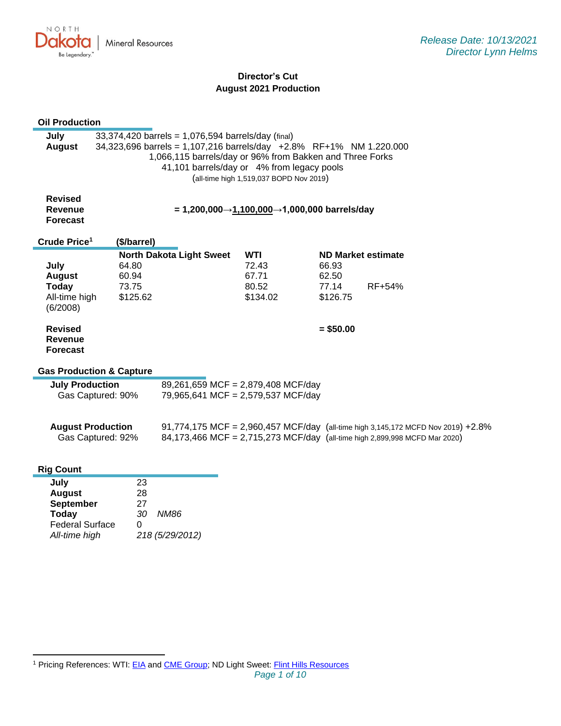NORTH Dakota **Mineral Resources** Be Legendary.

# **Director's Cut August 2021 Production**

| <b>Oil Production</b>                                                                      |                         |                                                                          |                                                                                                                                                                                                                                     |                                         |                         |  |                                                                                                                                                                |
|--------------------------------------------------------------------------------------------|-------------------------|--------------------------------------------------------------------------|-------------------------------------------------------------------------------------------------------------------------------------------------------------------------------------------------------------------------------------|-----------------------------------------|-------------------------|--|----------------------------------------------------------------------------------------------------------------------------------------------------------------|
| July<br><b>August</b>                                                                      |                         |                                                                          | 33,374,420 barrels = 1,076,594 barrels/day (final)<br>34,323,696 barrels = 1,107,216 barrels/day +2.8% RF+1% NM 1.220.000<br>1,066,115 barrels/day or 96% from Bakken and Three Forks<br>41,101 barrels/day or 4% from legacy pools | (all-time high 1,519,037 BOPD Nov 2019) |                         |  |                                                                                                                                                                |
| <b>Revised</b><br><b>Revenue</b><br><b>Forecast</b>                                        |                         |                                                                          | = 1,200,000→1,100,000→1,000,000 barrels/day                                                                                                                                                                                         |                                         |                         |  |                                                                                                                                                                |
| Crude Price <sup>1</sup>                                                                   | (\$/barrel)             |                                                                          |                                                                                                                                                                                                                                     |                                         |                         |  |                                                                                                                                                                |
| July<br><b>August</b><br><b>Today</b>                                                      | 64.80<br>60.94<br>73.75 |                                                                          | <b>North Dakota Light Sweet</b>                                                                                                                                                                                                     | <b>WTI</b><br>72.43<br>67.71<br>80.52   | 66.93<br>62.50<br>77.14 |  | <b>ND Market estimate</b><br>RF+54%                                                                                                                            |
| All-time high<br>(6/2008)                                                                  | \$125.62                |                                                                          |                                                                                                                                                                                                                                     | \$134.02                                | \$126.75                |  |                                                                                                                                                                |
| <b>Revised</b><br><b>Revenue</b><br><b>Forecast</b><br><b>Gas Production &amp; Capture</b> |                         |                                                                          |                                                                                                                                                                                                                                     |                                         | $= $50.00$              |  |                                                                                                                                                                |
|                                                                                            |                         |                                                                          |                                                                                                                                                                                                                                     |                                         |                         |  |                                                                                                                                                                |
| <b>July Production</b><br>Gas Captured: 90%                                                |                         | 89,261,659 MCF = 2,879,408 MCF/day<br>79,965,641 MCF = 2,579,537 MCF/day |                                                                                                                                                                                                                                     |                                         |                         |  |                                                                                                                                                                |
| <b>August Production</b>                                                                   | Gas Captured: 92%       |                                                                          |                                                                                                                                                                                                                                     |                                         |                         |  | 91,774,175 MCF = 2,960,457 MCF/day (all-time high 3,145,172 MCFD Nov 2019) +2.8%<br>84,173,466 MCF = 2,715,273 MCF/day (all-time high 2,899,998 MCFD Mar 2020) |
| <b>Rig Count</b>                                                                           |                         |                                                                          |                                                                                                                                                                                                                                     |                                         |                         |  |                                                                                                                                                                |
| July                                                                                       |                         | 23                                                                       |                                                                                                                                                                                                                                     |                                         |                         |  |                                                                                                                                                                |
| <b>August</b>                                                                              |                         | 28                                                                       |                                                                                                                                                                                                                                     |                                         |                         |  |                                                                                                                                                                |
| <b>September</b><br><b>Today</b>                                                           |                         | 27<br>30                                                                 | <b>NM86</b>                                                                                                                                                                                                                         |                                         |                         |  |                                                                                                                                                                |
| <b>Federal Surface</b>                                                                     |                         | 0                                                                        |                                                                                                                                                                                                                                     |                                         |                         |  |                                                                                                                                                                |
| All-time high                                                                              |                         |                                                                          | 218 (5/29/2012)                                                                                                                                                                                                                     |                                         |                         |  |                                                                                                                                                                |

<sup>&</sup>lt;sup>1</sup> Pricing References: WTI: [EIA](https://www.eia.gov/dnav/pet/hist/LeafHandler.ashx?n=PET&s=RCLC1&f=M) and [CME Group;](https://www.cmegroup.com/trading/energy/crude-oil/light-sweet-crude.html) ND Light Sweet: [Flint Hills Resources](https://www.fhr.com/products-services/fuels-and-aromatics)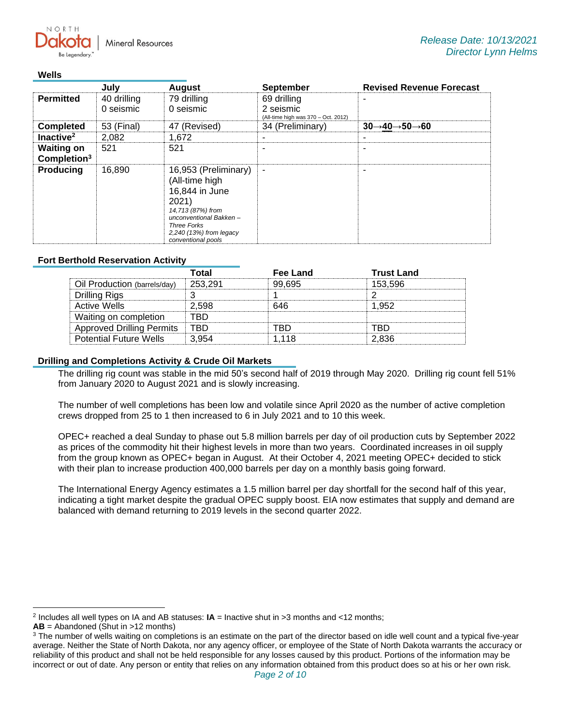**Mineral Resources** 

### **Wells**

 $N$   $\cap$   $R$   $T$   $\vdash$ 

|                                              | July                     | <b>August</b>                                                                                                                                                                           | <b>September</b> | <b>Revised Revenue Forecast</b>                   |  |  |
|----------------------------------------------|--------------------------|-----------------------------------------------------------------------------------------------------------------------------------------------------------------------------------------|------------------|---------------------------------------------------|--|--|
| <b>Permitted</b>                             | 40 drilling<br>0 seismic | 79 drilling<br>69 drilling<br>2 seismic<br>0 seismic<br>(All-time high was 370 - Oct. 2012)                                                                                             |                  |                                                   |  |  |
| <b>Completed</b>                             | 53 (Final)               | 47 (Revised)                                                                                                                                                                            | 34 (Preliminary) | $30 \rightarrow 40 \rightarrow 50 \rightarrow 60$ |  |  |
| Inactive <sup>2</sup>                        | 2,082                    | 1.672                                                                                                                                                                                   |                  |                                                   |  |  |
| <b>Waiting on</b><br>Completion <sup>3</sup> | 521                      | 521                                                                                                                                                                                     |                  |                                                   |  |  |
| <b>Producing</b>                             | 16.890                   | 16,953 (Preliminary)<br>(All-time high<br>16,844 in June<br>2021)<br>14,713 (87%) from<br>unconventional Bakken-<br><b>Three Forks</b><br>2,240 (13%) from legacy<br>conventional pools | ۰                |                                                   |  |  |

## **Fort Berthold Reservation Activity**

|                                  | Total   | Fee Land | <b>Trust Land</b> |
|----------------------------------|---------|----------|-------------------|
| Oil Production (barrels/day)     | 253.291 | 99.695   | 153.596           |
| Drilling Rigs                    |         |          |                   |
| Active Wells                     | 2.598   | 646      | 952               |
| Waiting on completion            | -RD     |          |                   |
| <b>Approved Drilling Permits</b> | TRD     |          | 'RГ               |
| <b>Potential Future Wells</b>    | 3 954   | 1.118    | 2.836             |

## **Drilling and Completions Activity & Crude Oil Markets**

The drilling rig count was stable in the mid 50's second half of 2019 through May 2020. Drilling rig count fell 51% from January 2020 to August 2021 and is slowly increasing.

The number of well completions has been low and volatile since April 2020 as the number of active completion crews dropped from 25 to 1 then increased to 6 in July 2021 and to 10 this week.

OPEC+ reached a deal Sunday to phase out 5.8 million barrels per day of oil production cuts by September 2022 as prices of the commodity hit their highest levels in more than two years. Coordinated increases in oil supply from the group known as OPEC+ began in August. At their October 4, 2021 meeting OPEC+ decided to stick with their plan to increase production 400,000 barrels per day on a monthly basis going forward.

The International Energy Agency estimates a 1.5 million barrel per day shortfall for the second half of this year, indicating a tight market despite the gradual OPEC supply boost. EIA now estimates that supply and demand are balanced with demand returning to 2019 levels in the second quarter 2022.

<sup>2</sup> Includes all well types on IA and AB statuses: **IA** = Inactive shut in >3 months and <12 months;

**AB** = Abandoned (Shut in >12 months)

<sup>&</sup>lt;sup>3</sup> The number of wells waiting on completions is an estimate on the part of the director based on idle well count and a typical five-year average. Neither the State of North Dakota, nor any agency officer, or employee of the State of North Dakota warrants the accuracy or reliability of this product and shall not be held responsible for any losses caused by this product. Portions of the information may be incorrect or out of date. Any person or entity that relies on any information obtained from this product does so at his or her own risk.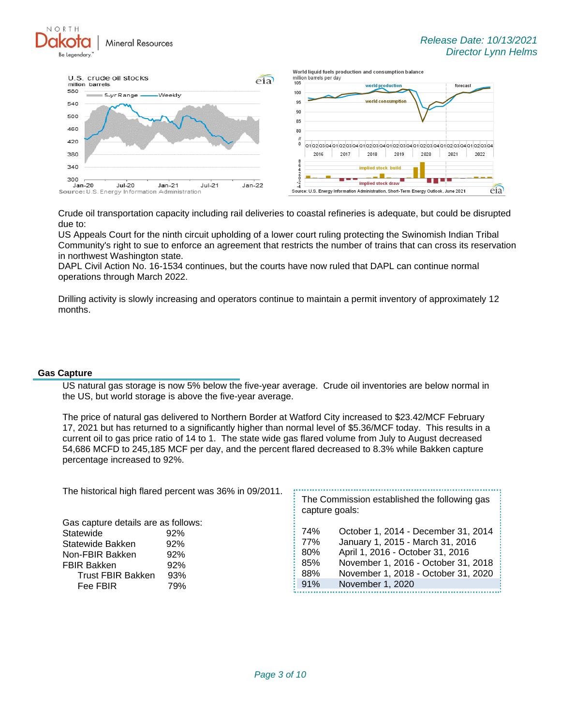NORTH **Mineral Resources** 



Crude oil transportation capacity including rail deliveries to coastal refineries is adequate, but could be disrupted due to:

US Appeals Court for the ninth circuit upholding of a lower court ruling protecting the Swinomish Indian Tribal Community's right to sue to enforce an agreement that restricts the number of trains that can cross its reservation in northwest Washington state.

DAPL Civil Action No. 16-1534 continues, but the courts have now ruled that DAPL can continue normal operations through March 2022.

Drilling activity is slowly increasing and operators continue to maintain a permit inventory of approximately 12 months.

### **Gas Capture**

US natural gas storage is now 5% below the five-year average. Crude oil inventories are below normal in the US, but world storage is above the five-year average.

The price of natural gas delivered to Northern Border at Watford City increased to \$23.42/MCF February 17, 2021 but has returned to a significantly higher than normal level of \$5.36/MCF today. This results in a current oil to gas price ratio of 14 to 1. The state wide gas flared volume from July to August decreased 54,686 MCFD to 245,185 MCF per day, and the percent flared decreased to 8.3% while Bakken capture percentage increased to 92%.

The historical high flared percent was 36% in 09/2011.

Gas capture details are as follows: Statewide 92% Statewide Bakken 92% Non-FBIR Bakken 92% FBIR Bakken 92% Trust FBIR Bakken 93% Fee FBIR 79%

The Commission established the following gas capture goals:

| 74% | October 1, 2014 - December 31, 2014 |
|-----|-------------------------------------|
| 77% | January 1, 2015 - March 31, 2016    |
| 80% | April 1, 2016 - October 31, 2016    |
| 85% | November 1, 2016 - October 31, 2018 |
| 88% | November 1, 2018 - October 31, 2020 |
| 91% | November 1, 2020                    |

L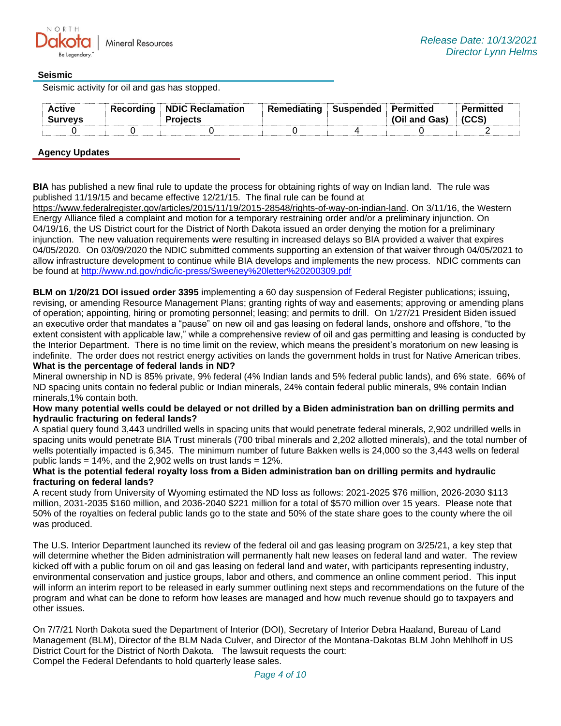## **Seismic**

Seismic activity for oil and gas has stopped.

| <b>Active</b><br><b>Surveys</b> | <b>Recording NDIC Reclamation</b><br>Proiects | Remediating | ⊧ Suspended ⊹ Permitted | (Oil and Gas) | Permitted |
|---------------------------------|-----------------------------------------------|-------------|-------------------------|---------------|-----------|
|                                 |                                               |             |                         |               |           |

## **Agency Updates**

**BIA** has published a new final rule to update the process for obtaining rights of way on Indian land. The rule was published 11/19/15 and became effective 12/21/15. The final rule can be found at

[https://www.federalregister.gov/articles/2015/11/19/2015-28548/rights-of-way-on-indian-land.](https://gcc02.safelinks.protection.outlook.com/?url=https%3A%2F%2Fwww.federalregister.gov%2Farticles%2F2015%2F11%2F19%2F2015-28548%2Frights-of-way-on-indian-land&data=04%7C01%7Ckahaarsager%40nd.gov%7C5f806a82d1d94988853208d98dd0e151%7C2dea0464da514a88bae2b3db94bc0c54%7C0%7C0%7C637696750545308579%7CUnknown%7CTWFpbGZsb3d8eyJWIjoiMC4wLjAwMDAiLCJQIjoiV2luMzIiLCJBTiI6Ik1haWwiLCJXVCI6Mn0%3D%7C1000&sdata=ulbPF5GN5N%2FuEs5FtAlTy16s2n%2F7SROhH5ocnaTtXb0%3D&reserved=0) On 3/11/16, the Western Energy Alliance filed a complaint and motion for a temporary restraining order and/or a preliminary injunction. On 04/19/16, the US District court for the District of North Dakota issued an order denying the motion for a preliminary injunction. The new valuation requirements were resulting in increased delays so BIA provided a waiver that expires 04/05/2020. On 03/09/2020 the NDIC submitted comments supporting an extension of that waiver through 04/05/2021 to allow infrastructure development to continue while BIA develops and implements the new process. NDIC comments can be found at<http://www.nd.gov/ndic/ic-press/Sweeney%20letter%20200309.pdf>

**BLM on 1/20/21 DOI issued order 3395** implementing a 60 day suspension of Federal Register publications; issuing, revising, or amending Resource Management Plans; granting rights of way and easements; approving or amending plans of operation; appointing, hiring or promoting personnel; leasing; and permits to drill. On 1/27/21 President Biden issued an executive order that mandates a "pause" on new oil and gas leasing on federal lands, onshore and offshore, "to the extent consistent with applicable law," while a comprehensive review of oil and gas permitting and leasing is conducted by the Interior Department. There is no time limit on the review, which means the president's moratorium on new leasing is indefinite. The order does not restrict energy activities on lands the government holds in trust for Native American tribes. **What is the percentage of federal lands in ND?**

Mineral ownership in ND is 85% private, 9% federal (4% Indian lands and 5% federal public lands), and 6% state. 66% of ND spacing units contain no federal public or Indian minerals, 24% contain federal public minerals, 9% contain Indian minerals,1% contain both.

### **How many potential wells could be delayed or not drilled by a Biden administration ban on drilling permits and hydraulic fracturing on federal lands?**

A spatial query found 3,443 undrilled wells in spacing units that would penetrate federal minerals, 2,902 undrilled wells in spacing units would penetrate BIA Trust minerals (700 tribal minerals and 2,202 allotted minerals), and the total number of wells potentially impacted is 6,345. The minimum number of future Bakken wells is 24,000 so the 3,443 wells on federal public lands =  $14\%$ , and the 2,902 wells on trust lands =  $12\%$ .

### **What is the potential federal royalty loss from a Biden administration ban on drilling permits and hydraulic fracturing on federal lands?**

A recent study from University of Wyoming estimated the ND loss as follows: 2021-2025 \$76 million, 2026-2030 \$113 million, 2031-2035 \$160 million, and 2036-2040 \$221 million for a total of \$570 million over 15 years. Please note that 50% of the royalties on federal public lands go to the state and 50% of the state share goes to the county where the oil was produced.

The U.S. Interior Department launched its review of the federal oil and gas leasing program on 3/25/21, a key step that will determine whether the Biden administration will permanently halt new leases on federal land and water. The review kicked off with a public forum on oil and gas leasing on federal land and water, with participants representing industry, environmental conservation and justice groups, labor and others, and commence an online comment period. This input will inform an interim report to be released in early summer outlining next steps and recommendations on the future of the program and what can be done to reform how leases are managed and how much revenue should go to taxpayers and other issues.

On 7/7/21 North Dakota sued the Department of Interior (DOI), Secretary of Interior Debra Haaland, Bureau of Land Management (BLM), Director of the BLM Nada Culver, and Director of the Montana-Dakotas BLM John Mehlhoff in US District Court for the District of North Dakota. The lawsuit requests the court: Compel the Federal Defendants to hold quarterly lease sales.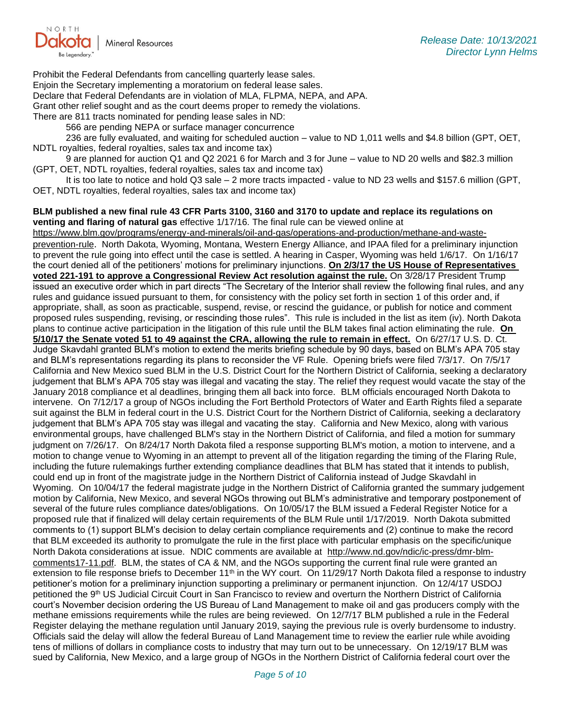

Prohibit the Federal Defendants from cancelling quarterly lease sales.

Enjoin the Secretary implementing a moratorium on federal lease sales.

Declare that Federal Defendants are in violation of MLA, FLPMA, NEPA, and APA.

Grant other relief sought and as the court deems proper to remedy the violations.

There are 811 tracts nominated for pending lease sales in ND:

566 are pending NEPA or surface manager concurrence

236 are fully evaluated, and waiting for scheduled auction – value to ND 1,011 wells and \$4.8 billion (GPT, OET, NDTL royalties, federal royalties, sales tax and income tax)

9 are planned for auction Q1 and Q2 2021 6 for March and 3 for June – value to ND 20 wells and \$82.3 million (GPT, OET, NDTL royalties, federal royalties, sales tax and income tax)

It is too late to notice and hold Q3 sale – 2 more tracts impacted - value to ND 23 wells and \$157.6 million (GPT, OET, NDTL royalties, federal royalties, sales tax and income tax)

**BLM published a new final rule 43 CFR Parts 3100, 3160 and 3170 to update and replace its regulations on venting and flaring of natural gas** effective 1/17/16. The final rule can be viewed online at

[https://www.blm.gov/programs/energy-and-minerals/oil-and-gas/operations-and-production/methane-and-waste](https://gcc02.safelinks.protection.outlook.com/?url=https%3A%2F%2Fwww.blm.gov%2Fprograms%2Fenergy-and-minerals%2Foil-and-gas%2Foperations-and-production%2Fmethane-and-waste-prevention-rule&data=04%7C01%7Ckahaarsager%40nd.gov%7C5f806a82d1d94988853208d98dd0e151%7C2dea0464da514a88bae2b3db94bc0c54%7C0%7C0%7C637696750545308579%7CUnknown%7CTWFpbGZsb3d8eyJWIjoiMC4wLjAwMDAiLCJQIjoiV2luMzIiLCJBTiI6Ik1haWwiLCJXVCI6Mn0%3D%7C1000&sdata=WPQikPar0hBmAErPTa6JCTLILER0hP8%2FJs4pC8WKbkA%3D&reserved=0)[prevention-rule](https://gcc02.safelinks.protection.outlook.com/?url=https%3A%2F%2Fwww.blm.gov%2Fprograms%2Fenergy-and-minerals%2Foil-and-gas%2Foperations-and-production%2Fmethane-and-waste-prevention-rule&data=04%7C01%7Ckahaarsager%40nd.gov%7C5f806a82d1d94988853208d98dd0e151%7C2dea0464da514a88bae2b3db94bc0c54%7C0%7C0%7C637696750545308579%7CUnknown%7CTWFpbGZsb3d8eyJWIjoiMC4wLjAwMDAiLCJQIjoiV2luMzIiLCJBTiI6Ik1haWwiLCJXVCI6Mn0%3D%7C1000&sdata=WPQikPar0hBmAErPTa6JCTLILER0hP8%2FJs4pC8WKbkA%3D&reserved=0). North Dakota, Wyoming, Montana, Western Energy Alliance, and IPAA filed for a preliminary injunction to prevent the rule going into effect until the case is settled. A hearing in Casper, Wyoming was held 1/6/17. On 1/16/17 the court denied all of the petitioners' motions for preliminary injunctions. **On 2/3/17 the US House of Representatives voted 221-191 to approve a Congressional Review Act resolution against the rule.** On 3/28/17 President Trump issued an executive order which in part directs "The Secretary of the Interior shall review the following final rules, and any rules and guidance issued pursuant to them, for consistency with the policy set forth in section 1 of this order and, if appropriate, shall, as soon as practicable, suspend, revise, or rescind the guidance, or publish for notice and comment proposed rules suspending, revising, or rescinding those rules". This rule is included in the list as item (iv). North Dakota plans to continue active participation in the litigation of this rule until the BLM takes final action eliminating the rule. **On 5/10/17 the Senate voted 51 to 49 against the CRA, allowing the rule to remain in effect.** On 6/27/17 U.S. D. Ct. Judge Skavdahl granted BLM's motion to extend the merits briefing schedule by 90 days, based on BLM's APA 705 stay and BLM's representations regarding its plans to reconsider the VF Rule. Opening briefs were filed 7/3/17. On 7/5/17 California and New Mexico sued BLM in the U.S. District Court for the Northern District of California, seeking a declaratory judgement that BLM's APA 705 stay was illegal and vacating the stay. The relief they request would vacate the stay of the January 2018 compliance et al deadlines, bringing them all back into force. BLM officials encouraged North Dakota to intervene. On 7/12/17 a group of NGOs including the Fort Berthold Protectors of Water and Earth Rights filed a separate suit against the BLM in federal court in the U.S. District Court for the Northern District of California, seeking a declaratory judgement that BLM's APA 705 stay was illegal and vacating the stay. California and New Mexico, along with various environmental groups, have challenged BLM's stay in the Northern District of California, and filed a motion for summary judgment on 7/26/17. On 8/24/17 North Dakota filed a response supporting BLM's motion, a motion to intervene, and a motion to change venue to Wyoming in an attempt to prevent all of the litigation regarding the timing of the Flaring Rule, including the future rulemakings further extending compliance deadlines that BLM has stated that it intends to publish, could end up in front of the magistrate judge in the Northern District of California instead of Judge Skavdahl in Wyoming. On 10/04/17 the federal magistrate judge in the Northern District of California granted the summary judgement motion by California, New Mexico, and several NGOs throwing out BLM's administrative and temporary postponement of several of the future rules compliance dates/obligations. On 10/05/17 the BLM issued a Federal Register Notice for a proposed rule that if finalized will delay certain requirements of the BLM Rule until 1/17/2019. North Dakota submitted comments to (1) support BLM's decision to delay certain compliance requirements and (2) continue to make the record that BLM exceeded its authority to promulgate the rule in the first place with particular emphasis on the specific/unique North Dakota considerations at issue. NDIC comments are available at [http://www.nd.gov/ndic/ic-press/dmr-blm](http://www.nd.gov/ndic/ic-press/dmr-blm-comments17-11.pdf)[comments17-11.pdf.](http://www.nd.gov/ndic/ic-press/dmr-blm-comments17-11.pdf) BLM, the states of CA & NM, and the NGOs supporting the current final rule were granted an extension to file response briefs to December  $11<sup>th</sup>$  in the WY court. On  $11/29/17$  North Dakota filed a response to industry petitioner's motion for a preliminary injunction supporting a preliminary or permanent injunction. On 12/4/17 USDOJ petitioned the 9<sup>th</sup> US Judicial Circuit Court in San Francisco to review and overturn the Northern District of California court's November decision ordering the US Bureau of Land Management to make oil and gas producers comply with the methane emissions requirements while the rules are being reviewed. On 12/7/17 BLM published a rule in the Federal Register delaying the methane regulation until January 2019, saying the previous rule is overly burdensome to industry. Officials said the delay will allow the federal Bureau of Land Management time to review the earlier rule while avoiding tens of millions of dollars in compliance costs to industry that may turn out to be unnecessary. On 12/19/17 BLM was sued by California, New Mexico, and a large group of NGOs in the Northern District of California federal court over the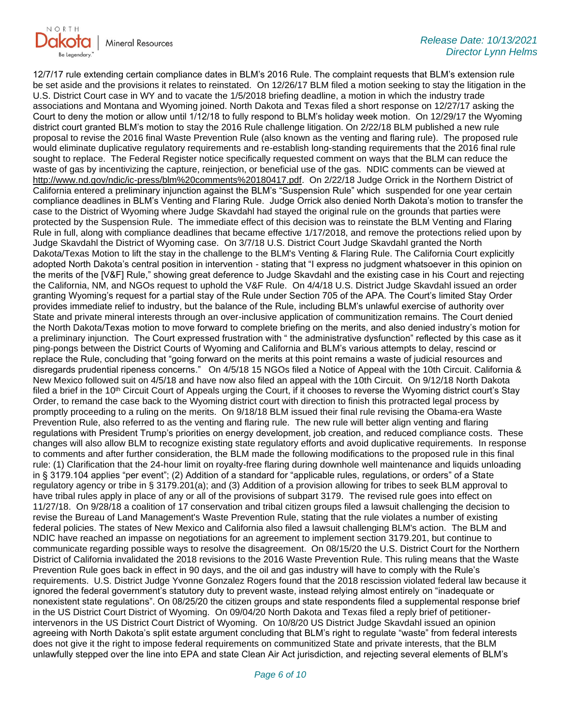

12/7/17 rule extending certain compliance dates in BLM's 2016 Rule. The complaint requests that BLM's extension rule be set aside and the provisions it relates to reinstated. On 12/26/17 BLM filed a motion seeking to stay the litigation in the U.S. District Court case in WY and to vacate the 1/5/2018 briefing deadline, a motion in which the industry trade associations and Montana and Wyoming joined. North Dakota and Texas filed a short response on 12/27/17 asking the Court to deny the motion or allow until 1/12/18 to fully respond to BLM's holiday week motion. On 12/29/17 the Wyoming district court granted BLM's motion to stay the 2016 Rule challenge litigation. On 2/22/18 BLM published a new rule proposal to revise the 2016 final Waste Prevention Rule (also known as the venting and flaring rule). The proposed rule would eliminate duplicative regulatory requirements and re-establish long-standing requirements that the 2016 final rule sought to replace. The Federal Register notice specifically requested comment on ways that the BLM can reduce the waste of gas by incentivizing the capture, reinjection, or beneficial use of the gas. NDIC comments can be viewed at [http://www.nd.gov/ndic/ic-press/blm%20comments%20180417.pdf.](http://www.nd.gov/ndic/ic-press/blm%20comments%20180417.pdf) On 2/22/18 Judge Orrick in the Northern District of California entered a preliminary injunction against the BLM's "Suspension Rule" which suspended for one year certain compliance deadlines in BLM's Venting and Flaring Rule. Judge Orrick also denied North Dakota's motion to transfer the case to the District of Wyoming where Judge Skavdahl had stayed the original rule on the grounds that parties were protected by the Suspension Rule. The immediate effect of this decision was to reinstate the BLM Venting and Flaring Rule in full, along with compliance deadlines that became effective 1/17/2018, and remove the protections relied upon by Judge Skavdahl the District of Wyoming case. On 3/7/18 U.S. District Court Judge Skavdahl granted the North Dakota/Texas Motion to lift the stay in the challenge to the BLM's Venting & Flaring Rule. The California Court explicitly adopted North Dakota's central position in intervention - stating that "I express no judgment whatsoever in this opinion on the merits of the [V&F] Rule," showing great deference to Judge Skavdahl and the existing case in his Court and rejecting the California, NM, and NGOs request to uphold the V&F Rule. On 4/4/18 U.S. District Judge Skavdahl issued an order granting Wyoming's request for a partial stay of the Rule under Section 705 of the APA. The Court's limited Stay Order provides immediate relief to industry, but the balance of the Rule, including BLM's unlawful exercise of authority over State and private mineral interests through an over-inclusive application of communitization remains. The Court denied the North Dakota/Texas motion to move forward to complete briefing on the merits, and also denied industry's motion for a preliminary injunction. The Court expressed frustration with " the administrative dysfunction" reflected by this case as it ping-pongs between the District Courts of Wyoming and California and BLM's various attempts to delay, rescind or replace the Rule, concluding that "going forward on the merits at this point remains a waste of judicial resources and disregards prudential ripeness concerns." On 4/5/18 15 NGOs filed a Notice of Appeal with the 10th Circuit. California & New Mexico followed suit on 4/5/18 and have now also filed an appeal with the 10th Circuit. On 9/12/18 North Dakota filed a brief in the  $10<sup>th</sup>$  Circuit Court of Appeals urging the Court, if it chooses to reverse the Wyoming district court's Stay Order, to remand the case back to the Wyoming district court with direction to finish this protracted legal process by promptly proceeding to a ruling on the merits. On 9/18/18 BLM issued their final rule revising the Obama-era Waste Prevention Rule, also referred to as the venting and flaring rule. The new rule will better align venting and flaring regulations with President Trump's priorities on energy development, job creation, and reduced compliance costs. These changes will also allow BLM to recognize existing state regulatory efforts and avoid duplicative requirements. In response to comments and after further consideration, the BLM made the following modifications to the proposed rule in this final rule: (1) Clarification that the 24-hour limit on royalty-free flaring during downhole well maintenance and liquids unloading in § 3179.104 applies "per event"; (2) Addition of a standard for "applicable rules, regulations, or orders" of a State regulatory agency or tribe in § 3179.201(a); and (3) Addition of a provision allowing for tribes to seek BLM approval to have tribal rules apply in place of any or all of the provisions of subpart 3179. The revised rule goes into effect on 11/27/18. On 9/28/18 a coalition of 17 conservation and tribal citizen groups filed a lawsuit challenging the decision to revise the Bureau of Land Management's Waste Prevention Rule, stating that the rule violates a number of existing federal policies. The states of New Mexico and California also filed a lawsuit challenging BLM's action. The BLM and NDIC have reached an impasse on negotiations for an agreement to implement section 3179.201, but continue to communicate regarding possible ways to resolve the disagreement. On 08/15/20 the U.S. District Court for the Northern District of California invalidated the 2018 revisions to the 2016 Waste Prevention Rule. This ruling means that the Waste Prevention Rule goes back in effect in 90 days, and the oil and gas industry will have to comply with the Rule's requirements. U.S. District Judge Yvonne Gonzalez Rogers found that the 2018 rescission violated federal law because it ignored the federal government's statutory duty to prevent waste, instead relying almost entirely on "inadequate or nonexistent state regulations". On 08/25/20 the citizen groups and state respondents filed a supplemental response brief in the US District Court District of Wyoming. On 09/04/20 North Dakota and Texas filed a reply brief of petitionerintervenors in the US District Court District of Wyoming. On 10/8/20 US District Judge Skavdahl issued an opinion agreeing with North Dakota's split estate argument concluding that BLM's right to regulate "waste" from federal interests does not give it the right to impose federal requirements on communitized State and private interests, that the BLM unlawfully stepped over the line into EPA and state Clean Air Act jurisdiction, and rejecting several elements of BLM's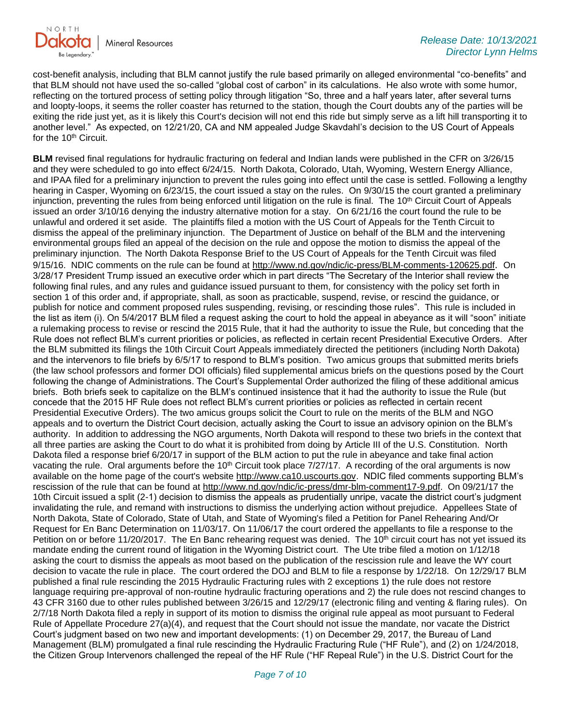

cost-benefit analysis, including that BLM cannot justify the rule based primarily on alleged environmental "co-benefits" and that BLM should not have used the so-called "global cost of carbon" in its calculations. He also wrote with some humor, reflecting on the tortured process of setting policy through litigation "So, three and a half years later, after several turns and loopty-loops, it seems the roller coaster has returned to the station, though the Court doubts any of the parties will be exiting the ride just yet, as it is likely this Court's decision will not end this ride but simply serve as a lift hill transporting it to another level." As expected, on 12/21/20, CA and NM appealed Judge Skavdahl's decision to the US Court of Appeals for the 10<sup>th</sup> Circuit.

**BLM** revised final regulations for hydraulic fracturing on federal and Indian lands were published in the CFR on 3/26/15 and they were scheduled to go into effect 6/24/15. North Dakota, Colorado, Utah, Wyoming, Western Energy Alliance, and IPAA filed for a preliminary injunction to prevent the rules going into effect until the case is settled. Following a lengthy hearing in Casper, Wyoming on 6/23/15, the court issued a stay on the rules. On 9/30/15 the court granted a preliminary injunction, preventing the rules from being enforced until litigation on the rule is final. The 10<sup>th</sup> Circuit Court of Appeals issued an order 3/10/16 denying the industry alternative motion for a stay. On 6/21/16 the court found the rule to be unlawful and ordered it set aside. The plaintiffs filed a motion with the US Court of Appeals for the Tenth Circuit to dismiss the appeal of the preliminary injunction. The Department of Justice on behalf of the BLM and the intervening environmental groups filed an appeal of the decision on the rule and oppose the motion to dismiss the appeal of the preliminary injunction. The North Dakota Response Brief to the US Court of Appeals for the Tenth Circuit was filed 9/15/16. NDIC comments on the rule can be found at<http://www.nd.gov/ndic/ic-press/BLM-comments-120625.pdf>. On 3/28/17 President Trump issued an executive order which in part directs "The Secretary of the Interior shall review the following final rules, and any rules and guidance issued pursuant to them, for consistency with the policy set forth in section 1 of this order and, if appropriate, shall, as soon as practicable, suspend, revise, or rescind the guidance, or publish for notice and comment proposed rules suspending, revising, or rescinding those rules". This rule is included in the list as item (i). On 5/4/2017 BLM filed a request asking the court to hold the appeal in abeyance as it will "soon" initiate a rulemaking process to revise or rescind the 2015 Rule, that it had the authority to issue the Rule, but conceding that the Rule does not reflect BLM's current priorities or policies, as reflected in certain recent Presidential Executive Orders. After the BLM submitted its filings the 10th Circuit Court Appeals immediately directed the petitioners (including North Dakota) and the intervenors to file briefs by 6/5/17 to respond to BLM's position. Two amicus groups that submitted merits briefs (the law school professors and former DOI officials) filed supplemental amicus briefs on the questions posed by the Court following the change of Administrations. The Court's Supplemental Order authorized the filing of these additional amicus briefs. Both briefs seek to capitalize on the BLM's continued insistence that it had the authority to issue the Rule (but concede that the 2015 HF Rule does not reflect BLM's current priorities or policies as reflected in certain recent Presidential Executive Orders). The two amicus groups solicit the Court to rule on the merits of the BLM and NGO appeals and to overturn the District Court decision, actually asking the Court to issue an advisory opinion on the BLM's authority. In addition to addressing the NGO arguments, North Dakota will respond to these two briefs in the context that all three parties are asking the Court to do what it is prohibited from doing by Article III of the U.S. Constitution. North Dakota filed a response brief 6/20/17 in support of the BLM action to put the rule in abeyance and take final action vacating the rule. Oral arguments before the 10<sup>th</sup> Circuit took place 7/27/17. A recording of the oral arguments is now available on the home page of the court's website [http://www.ca10.uscourts.gov.](https://gcc02.safelinks.protection.outlook.com/?url=https%3A%2F%2Furldefense.proofpoint.com%2Fv2%2Furl%3Fu%3Dhttp-3A__www.ca10.uscourts.gov%26d%3DDwMGaQ%26c%3D2s2mvbfY0UoSKkl6_Ol9wg%26r%3D-wqsZnBxny594KY8HeElow%26m%3DUl_VtJUX6iW5pvHjCcBxUWtskC0F4Dhry3sPtcEHvCw%26s%3DlaRHiLDv5w8otcQWQjpn82WMieoB2AZ-Q4M1LFQPL5s%26e%3D&data=04%7C01%7Ckahaarsager%40nd.gov%7C5f806a82d1d94988853208d98dd0e151%7C2dea0464da514a88bae2b3db94bc0c54%7C0%7C0%7C637696750545318530%7CUnknown%7CTWFpbGZsb3d8eyJWIjoiMC4wLjAwMDAiLCJQIjoiV2luMzIiLCJBTiI6Ik1haWwiLCJXVCI6Mn0%3D%7C1000&sdata=T8SACJerSh%2BExYcXtE%2FUlTaUTD%2FT9ft9fUZgizaBrvA%3D&reserved=0) NDIC filed comments supporting BLM's rescission of the rule that can be found at [http://www.nd.gov/ndic/ic-press/dmr-blm-comment17-9.pdf.](http://www.nd.gov/ndic/ic-press/dmr-blm-comment17-9.pdf) On 09/21/17 the 10th Circuit issued a split (2-1) decision to dismiss the appeals as prudentially unripe, vacate the district court's judgment invalidating the rule, and remand with instructions to dismiss the underlying action without prejudice. Appellees State of North Dakota, State of Colorado, State of Utah, and State of Wyoming's filed a Petition for Panel Rehearing And/Or Request for En Banc Determination on 11/03/17. On 11/06/17 the court ordered the appellants to file a response to the Petition on or before 11/20/2017. The En Banc rehearing request was denied. The 10<sup>th</sup> circuit court has not yet issued its mandate ending the current round of litigation in the Wyoming District court. The Ute tribe filed a motion on 1/12/18 asking the court to dismiss the appeals as moot based on the publication of the rescission rule and leave the WY court decision to vacate the rule in place. The court ordered the DOJ and BLM to file a response by 1/22/18. On 12/29/17 BLM published a final rule rescinding the 2015 Hydraulic Fracturing rules with 2 exceptions 1) the rule does not restore language requiring pre-approval of non-routine hydraulic fracturing operations and 2) the rule does not rescind changes to 43 CFR 3160 due to other rules published between 3/26/15 and 12/29/17 (electronic filing and venting & flaring rules). On 2/7/18 North Dakota filed a reply in support of its motion to dismiss the original rule appeal as moot pursuant to Federal Rule of Appellate Procedure 27(a)(4), and request that the Court should not issue the mandate, nor vacate the District Court's judgment based on two new and important developments: (1) on December 29, 2017, the Bureau of Land Management (BLM) promulgated a final rule rescinding the Hydraulic Fracturing Rule ("HF Rule"), and (2) on 1/24/2018, the Citizen Group Intervenors challenged the repeal of the HF Rule ("HF Repeal Rule") in the U.S. District Court for the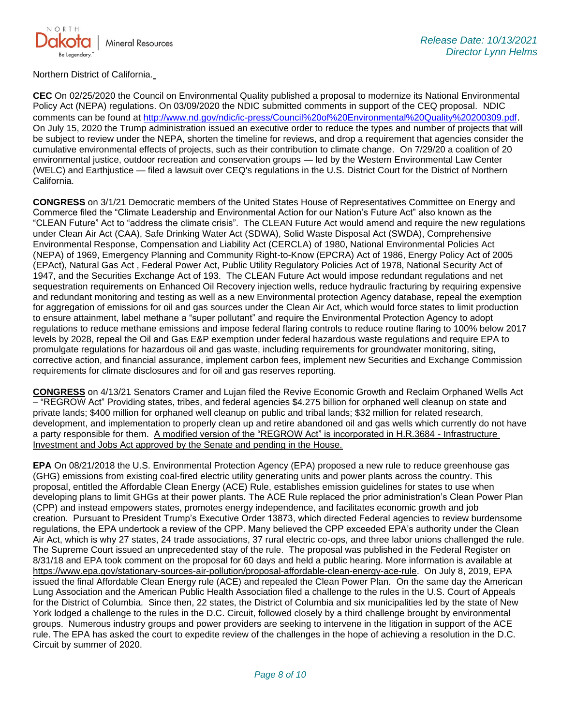

Northern District of California.

**CEC** On 02/25/2020 the Council on Environmental Quality published a proposal to modernize its National Environmental Policy Act (NEPA) regulations. On 03/09/2020 the NDIC submitted comments in support of the CEQ proposal. NDIC comments can be found at<http://www.nd.gov/ndic/ic-press/Council%20of%20Environmental%20Quality%20200309.pdf>. On July 15, 2020 the Trump administration issued an executive order to reduce the types and number of projects that will be subject to review under the NEPA, shorten the timeline for reviews, and drop a requirement that agencies consider the cumulative environmental effects of projects, such as their contribution to climate change. On 7/29/20 a coalition of 20 environmental justice, outdoor recreation and conservation groups — led by the Western Environmental Law Center (WELC) and Earthjustice — filed a lawsuit over CEQ's regulations in the U.S. District Court for the District of Northern California.

**CONGRESS** on 3/1/21 Democratic members of the United States House of Representatives Committee on Energy and Commerce filed the "Climate Leadership and Environmental Action for our Nation's Future Act" also known as the "CLEAN Future" Act to "address the climate crisis". The CLEAN Future Act would amend and require the new regulations under Clean Air Act (CAA), Safe Drinking Water Act (SDWA), Solid Waste Disposal Act (SWDA), Comprehensive Environmental Response, Compensation and Liability Act (CERCLA) of 1980, National Environmental Policies Act (NEPA) of 1969, Emergency Planning and Community Right-to-Know (EPCRA) Act of 1986, Energy Policy Act of 2005 (EPAct), Natural Gas Act , Federal Power Act, Public Utility Regulatory Policies Act of 1978, National Security Act of 1947, and the Securities Exchange Act of 193. The CLEAN Future Act would impose redundant regulations and net sequestration requirements on Enhanced Oil Recovery injection wells, reduce hydraulic fracturing by requiring expensive and redundant monitoring and testing as well as a new Environmental protection Agency database, repeal the exemption for aggregation of emissions for oil and gas sources under the Clean Air Act, which would force states to limit production to ensure attainment, label methane a "super pollutant" and require the Environmental Protection Agency to adopt regulations to reduce methane emissions and impose federal flaring controls to reduce routine flaring to 100% below 2017 levels by 2028, repeal the Oil and Gas E&P exemption under federal hazardous waste regulations and require EPA to promulgate regulations for hazardous oil and gas waste, including requirements for groundwater monitoring, siting, corrective action, and financial assurance, implement carbon fees, implement new Securities and Exchange Commission requirements for climate disclosures and for oil and gas reserves reporting.

**CONGRESS** on 4/13/21 Senators Cramer and Lujan filed the Revive Economic Growth and Reclaim Orphaned Wells Act – "REGROW Act" Providing states, tribes, and federal agencies \$4.275 billion for orphaned well cleanup on state and private lands; \$400 million for orphaned well cleanup on public and tribal lands; \$32 million for related research, development, and implementation to properly clean up and retire abandoned oil and gas wells which currently do not have a party responsible for them. A modified version of the "REGROW Act" is incorporated in H.R.3684 - Infrastructure Investment and Jobs Act approved by the Senate and pending in the House.

**EPA** On 08/21/2018 the U.S. Environmental Protection Agency (EPA) proposed a new rule to reduce greenhouse gas (GHG) emissions from existing coal-fired electric utility generating units and power plants across the country. This proposal, entitled the Affordable Clean Energy (ACE) Rule, establishes emission guidelines for states to use when developing plans to limit GHGs at their power plants. The ACE Rule replaced the prior administration's Clean Power Plan (CPP) and instead empowers states, promotes energy independence, and facilitates economic growth and job creation. Pursuant to President Trump's Executive Order 13873, which directed Federal agencies to review burdensome regulations, the EPA undertook a review of the CPP. Many believed the CPP exceeded EPA's authority under the Clean Air Act, which is why 27 states, 24 trade associations, 37 rural electric co-ops, and three labor unions challenged the rule. The Supreme Court issued an unprecedented stay of the rule. The proposal was published in the Federal Register on 8/31/18 and EPA took comment on the proposal for 60 days and held a public hearing. More information is available at [https://www.epa.gov/stationary-sources-air-pollution/proposal-affordable-clean-energy-ace-rule.](https://gcc02.safelinks.protection.outlook.com/?url=https%3A%2F%2Fwww.epa.gov%2Fstationary-sources-air-pollution%2Fproposal-affordable-clean-energy-ace-rule&data=04%7C01%7Ckahaarsager%40nd.gov%7C5f806a82d1d94988853208d98dd0e151%7C2dea0464da514a88bae2b3db94bc0c54%7C0%7C0%7C637696750545318530%7CUnknown%7CTWFpbGZsb3d8eyJWIjoiMC4wLjAwMDAiLCJQIjoiV2luMzIiLCJBTiI6Ik1haWwiLCJXVCI6Mn0%3D%7C1000&sdata=u9p59dgES3gvCIoaCRh41o3wtg5wUX14GQPVipeXqJI%3D&reserved=0) On July 8, 2019, EPA issued the final Affordable Clean Energy rule (ACE) and repealed the Clean Power Plan. On the same day the American Lung Association and the American Public Health Association filed a challenge to the rules in the U.S. Court of Appeals for the District of Columbia. Since then, 22 states, the District of Columbia and six municipalities led by the state of New York lodged a challenge to the rules in the D.C. Circuit, followed closely by a third challenge brought by environmental groups. Numerous industry groups and power providers are seeking to intervene in the litigation in support of the ACE rule. The EPA has asked the court to expedite review of the challenges in the hope of achieving a resolution in the D.C. Circuit by summer of 2020.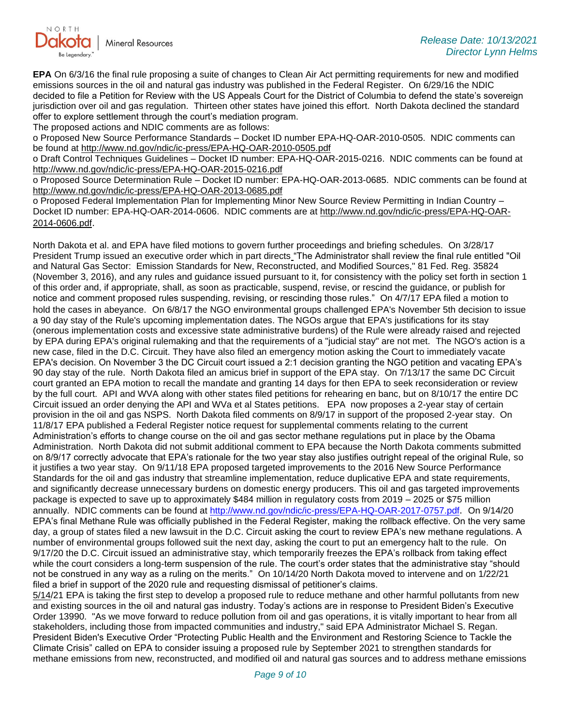

**EPA** On 6/3/16 the final rule proposing a suite of changes to Clean Air Act permitting requirements for new and modified emissions sources in the oil and natural gas industry was published in the Federal Register. On 6/29/16 the NDIC decided to file a Petition for Review with the US Appeals Court for the District of Columbia to defend the state's sovereign jurisdiction over oil and gas regulation. Thirteen other states have joined this effort. North Dakota declined the standard offer to explore settlement through the court's mediation program.

The proposed actions and NDIC comments are as follows:

o Proposed New Source Performance Standards – Docket ID number EPA-HQ-OAR-2010-0505. NDIC comments can be found at<http://www.nd.gov/ndic/ic-press/EPA-HQ-OAR-2010-0505.pdf>

o Draft Control Techniques Guidelines – Docket ID number: EPA-HQ-OAR-2015-0216. NDIC comments can be found at <http://www.nd.gov/ndic/ic-press/EPA-HQ-OAR-2015-0216.pdf>

o Proposed Source Determination Rule – Docket ID number: EPA-HQ-OAR-2013-0685. NDIC comments can be found at <http://www.nd.gov/ndic/ic-press/EPA-HQ-OAR-2013-0685.pdf>

o Proposed Federal Implementation Plan for Implementing Minor New Source Review Permitting in Indian Country – Docket ID number: EPA-HQ-OAR-2014-0606. NDIC comments are at [http://www.nd.gov/ndic/ic-press/EPA-HQ-OAR-](http://www.nd.gov/ndic/ic-press/EPA-HQ-OAR-2014-0606.pdf)[2014-0606.pdf](http://www.nd.gov/ndic/ic-press/EPA-HQ-OAR-2014-0606.pdf).

North Dakota et al. and EPA have filed motions to govern further proceedings and briefing schedules. On 3/28/17 President Trump issued an executive order which in part directs "The Administrator shall review the final rule entitled "Oil and Natural Gas Sector: Emission Standards for New, Reconstructed, and Modified Sources," 81 Fed. Reg. 35824 (November 3, 2016), and any rules and guidance issued pursuant to it, for consistency with the policy set forth in section 1 of this order and, if appropriate, shall, as soon as practicable, suspend, revise, or rescind the guidance, or publish for notice and comment proposed rules suspending, revising, or rescinding those rules." On 4/7/17 EPA filed a motion to hold the cases in abeyance. On 6/8/17 the NGO environmental groups challenged EPA's November 5th decision to issue a 90 day stay of the Rule's upcoming implementation dates. The NGOs argue that EPA's justifications for its stay (onerous implementation costs and excessive state administrative burdens) of the Rule were already raised and rejected by EPA during EPA's original rulemaking and that the requirements of a "judicial stay" are not met. The NGO's action is a new case, filed in the D.C. Circuit. They have also filed an emergency motion asking the Court to immediately vacate EPA's decision. On November 3 the DC Circuit court issued a 2:1 decision granting the NGO petition and vacating EPA's 90 day stay of the rule. North Dakota filed an amicus brief in support of the EPA stay. On 7/13/17 the same DC Circuit court granted an EPA motion to recall the mandate and granting 14 days for then EPA to seek reconsideration or review by the full court. API and WVA along with other states filed petitions for rehearing en banc, but on 8/10/17 the entire DC Circuit issued an order denying the API and WVa et al States petitions. EPA now proposes a 2-year stay of certain provision in the oil and gas NSPS. North Dakota filed comments on 8/9/17 in support of the proposed 2-year stay. On 11/8/17 EPA published a Federal Register notice request for supplemental comments relating to the current Administration's efforts to change course on the oil and gas sector methane regulations put in place by the Obama Administration. North Dakota did not submit additional comment to EPA because the North Dakota comments submitted on 8/9/17 correctly advocate that EPA's rationale for the two year stay also justifies outright repeal of the original Rule, so it justifies a two year stay. On 9/11/18 EPA proposed targeted improvements to the 2016 New Source Performance Standards for the oil and gas industry that streamline implementation, reduce duplicative EPA and state requirements, and significantly decrease unnecessary burdens on domestic energy producers. This oil and gas targeted improvements package is expected to save up to approximately \$484 million in regulatory costs from 2019 – 2025 or \$75 million annually. NDIC comments can be found at<http://www.nd.gov/ndic/ic-press/EPA-HQ-OAR-2017-0757.pdf>. On 9/14/20 EPA's final Methane Rule was officially published in the Federal Register, making the rollback effective. On the very same day, a group of states filed a new lawsuit in the D.C. Circuit asking the court to review EPA's new methane regulations. A number of environmental groups followed suit the next day, asking the court to put an emergency halt to the rule. On 9/17/20 the D.C. Circuit issued an administrative stay, which temporarily freezes the EPA's rollback from taking effect while the court considers a long-term suspension of the rule. The court's order states that the administrative stay "should not be construed in any way as a ruling on the merits." On 10/14/20 North Dakota moved to intervene and on 1/22/21 filed a brief in support of the 2020 rule and requesting dismissal of petitioner's claims.

5/14/21 EPA is taking the first step to develop a proposed rule to reduce methane and other harmful pollutants from new and existing sources in the oil and natural gas industry. Today's actions are in response to President Biden's Executive Order 13990. "As we move forward to reduce pollution from oil and gas operations, it is vitally important to hear from all stakeholders, including those from impacted communities and industry," said EPA Administrator Michael S. Regan. President Biden's Executive Order "Protecting Public Health and the Environment and Restoring Science to Tackle the Climate Crisis" called on EPA to consider issuing a proposed rule by September 2021 to strengthen standards for methane emissions from new, reconstructed, and modified oil and natural gas sources and to address methane emissions